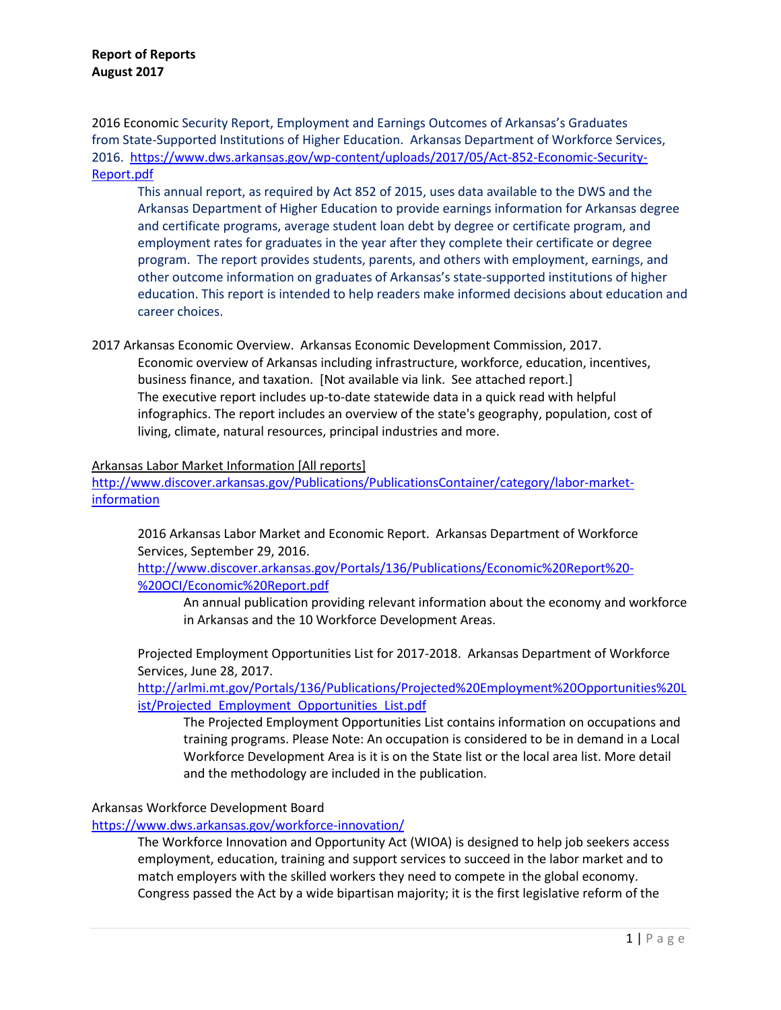2016 Economic Security Report, Employment and Earnings Outcomes of Arkansas's Graduates from State-Supported Institutions of Higher Education. Arkansas Department of Workforce Services, 2016. [https://www.dws.arkansas.gov/wp-content/uploads/2017/05/Act-852-Economic-Security-](https://www.dws.arkansas.gov/wp-content/uploads/2017/05/Act-852-Economic-Security-Report.pdf)[Report.pdf](https://www.dws.arkansas.gov/wp-content/uploads/2017/05/Act-852-Economic-Security-Report.pdf)

This annual report, as required by Act 852 of 2015, uses data available to the DWS and the Arkansas Department of Higher Education to provide earnings information for Arkansas degree and certificate programs, average student loan debt by degree or certificate program, and employment rates for graduates in the year after they complete their certificate or degree program. The report provides students, parents, and others with employment, earnings, and other outcome information on graduates of Arkansas's state-supported institutions of higher education. This report is intended to help readers make informed decisions about education and career choices.

2017 Arkansas Economic Overview. Arkansas Economic Development Commission, 2017. Economic overview of Arkansas including infrastructure, workforce, education, incentives, business finance, and taxation. [Not available via link. See attached report.] The executive report includes up-to-date statewide data in a quick read with helpful infographics. The report includes an overview of the state's geography, population, cost of living, climate, natural resources, principal industries and more.

### Arkansas Labor Market Information [All reports]

[http://www.discover.arkansas.gov/Publications/PublicationsContainer/category/labor-market](http://www.discover.arkansas.gov/Publications/PublicationsContainer/category/labor-market-information)[information](http://www.discover.arkansas.gov/Publications/PublicationsContainer/category/labor-market-information)

2016 Arkansas Labor Market and Economic Report. Arkansas Department of Workforce Services, September 29, 2016.

[http://www.discover.arkansas.gov/Portals/136/Publications/Economic%20Report%20-](http://www.discover.arkansas.gov/Portals/136/Publications/Economic%20Report%20-%20OCI/Economic%20Report.pdf) [%20OCI/Economic%20Report.pdf](http://www.discover.arkansas.gov/Portals/136/Publications/Economic%20Report%20-%20OCI/Economic%20Report.pdf)

An annual publication providing relevant information about the economy and workforce in Arkansas and the 10 Workforce Development Areas.

Projected Employment Opportunities List for 2017-2018. Arkansas Department of Workforce Services, June 28, 2017.

[http://arlmi.mt.gov/Portals/136/Publications/Projected%20Employment%20Opportunities%20L](http://arlmi.mt.gov/Portals/136/Publications/Projected%20Employment%20Opportunities%20List/Projected_Employment_Opportunities_List.pdf) ist/Projected Employment Opportunities List.pdf

The Projected Employment Opportunities List contains information on occupations and training programs. Please Note: An occupation is considered to be in demand in a Local Workforce Development Area is it is on the State list or the local area list. More detail and the methodology are included in the publication.

# Arkansas Workforce Development Board

<https://www.dws.arkansas.gov/workforce-innovation/>

The Workforce Innovation and Opportunity Act (WIOA) is designed to help job seekers access employment, education, training and support services to succeed in the labor market and to match employers with the skilled workers they need to compete in the global economy. Congress passed the Act by a wide bipartisan majority; it is the first legislative reform of the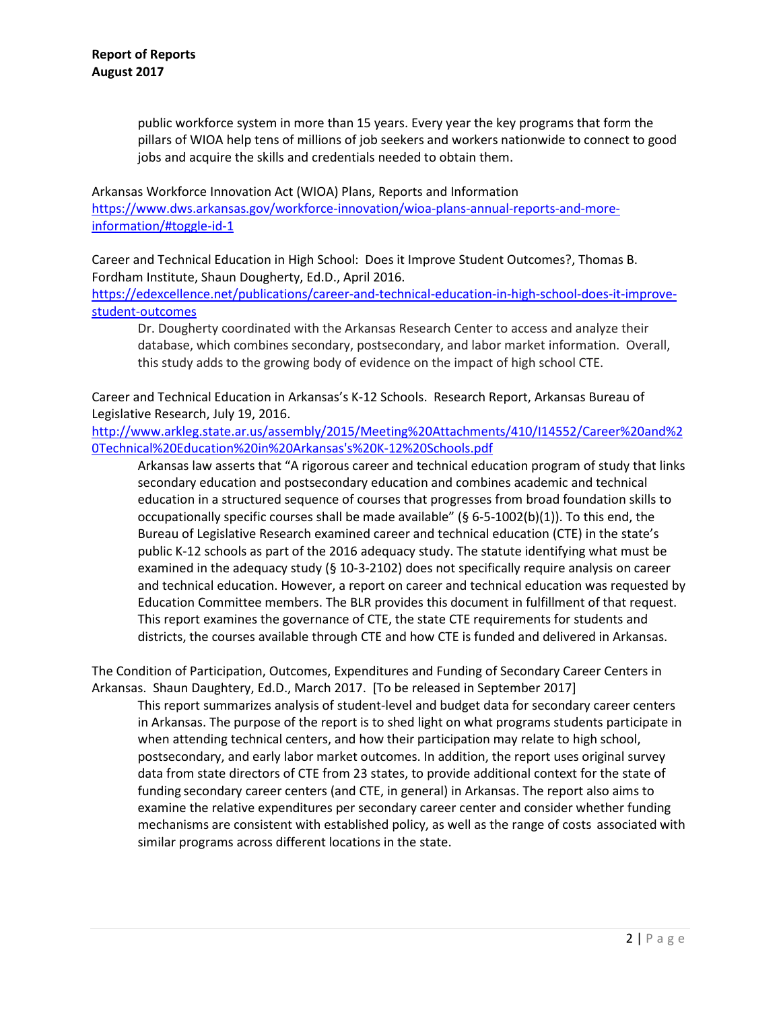public workforce system in more than 15 years. Every year the key programs that form the pillars of WIOA help tens of millions of job seekers and workers nationwide to connect to good jobs and acquire the skills and credentials needed to obtain them.

Arkansas Workforce Innovation Act (WIOA) Plans, Reports and Information [https://www.dws.arkansas.gov/workforce-innovation/wioa-plans-annual-reports-and-more](https://www.dws.arkansas.gov/workforce-innovation/wioa-plans-annual-reports-and-more-information/#toggle-id-1)[information/#toggle-id-1](https://www.dws.arkansas.gov/workforce-innovation/wioa-plans-annual-reports-and-more-information/#toggle-id-1)

Career and Technical Education in High School: Does it Improve Student Outcomes?, Thomas B. Fordham Institute, Shaun Dougherty, Ed.D., April 2016.

[https://edexcellence.net/publications/career-and-technical-education-in-high-school-does-it-improve](https://edexcellence.net/publications/career-and-technical-education-in-high-school-does-it-improve-student-outcomes)[student-outcomes](https://edexcellence.net/publications/career-and-technical-education-in-high-school-does-it-improve-student-outcomes)

Dr. Dougherty coordinated with the Arkansas Research Center to access and analyze their database, which combines secondary, postsecondary, and labor market information. Overall, this study adds to the growing body of evidence on the impact of high school CTE.

Career and Technical Education in Arkansas's K-12 Schools. Research Report, Arkansas Bureau of Legislative Research, July 19, 2016.

[http://www.arkleg.state.ar.us/assembly/2015/Meeting%20Attachments/410/I14552/Career%20and%2](http://www.arkleg.state.ar.us/assembly/2015/Meeting%20Attachments/410/I14552/Career%20and%20Technical%20Education%20in%20Arkansas) [0Technical%20Education%20in%20Arkansas's%20K-12%20Schools.pdf](http://www.arkleg.state.ar.us/assembly/2015/Meeting%20Attachments/410/I14552/Career%20and%20Technical%20Education%20in%20Arkansas)

Arkansas law asserts that "A rigorous career and technical education program of study that links secondary education and postsecondary education and combines academic and technical education in a structured sequence of courses that progresses from broad foundation skills to occupationally specific courses shall be made available" (§ 6-5-1002(b)(1)). To this end, the Bureau of Legislative Research examined career and technical education (CTE) in the state's public K-12 schools as part of the 2016 adequacy study. The statute identifying what must be examined in the adequacy study (§ 10-3-2102) does not specifically require analysis on career and technical education. However, a report on career and technical education was requested by Education Committee members. The BLR provides this document in fulfillment of that request. This report examines the governance of CTE, the state CTE requirements for students and districts, the courses available through CTE and how CTE is funded and delivered in Arkansas.

The Condition of Participation, Outcomes, Expenditures and Funding of Secondary Career Centers in Arkansas. Shaun Daughtery, Ed.D., March 2017. [To be released in September 2017]

This report summarizes analysis of student-level and budget data for secondary career centers in Arkansas. The purpose of the report is to shed light on what programs students participate in when attending technical centers, and how their participation may relate to high school, postsecondary, and early labor market outcomes. In addition, the report uses original survey data from state directors of CTE from 23 states, to provide additional context for the state of funding secondary career centers (and CTE, in general) in Arkansas. The report also aims to examine the relative expenditures per secondary career center and consider whether funding mechanisms are consistent with established policy, as well as the range of costs associated with similar programs across different locations in the state.